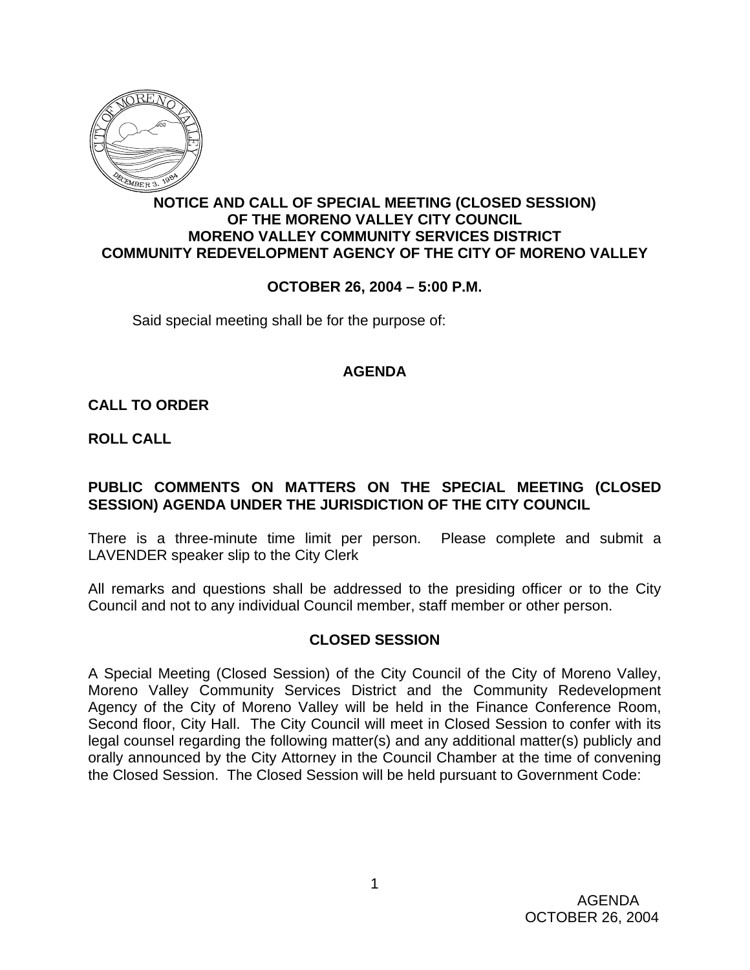

## **NOTICE AND CALL OF SPECIAL MEETING (CLOSED SESSION) OF THE MORENO VALLEY CITY COUNCIL MORENO VALLEY COMMUNITY SERVICES DISTRICT COMMUNITY REDEVELOPMENT AGENCY OF THE CITY OF MORENO VALLEY**

### **OCTOBER 26, 2004 – 5:00 P.M.**

Said special meeting shall be for the purpose of:

#### **AGENDA**

**CALL TO ORDER**

**ROLL CALL**

### **PUBLIC COMMENTS ON MATTERS ON THE SPECIAL MEETING (CLOSED SESSION) AGENDA UNDER THE JURISDICTION OF THE CITY COUNCIL**

There is a three-minute time limit per person. Please complete and submit a LAVENDER speaker slip to the City Clerk

All remarks and questions shall be addressed to the presiding officer or to the City Council and not to any individual Council member, staff member or other person.

#### **CLOSED SESSION**

A Special Meeting (Closed Session) of the City Council of the City of Moreno Valley, Moreno Valley Community Services District and the Community Redevelopment Agency of the City of Moreno Valley will be held in the Finance Conference Room, Second floor, City Hall. The City Council will meet in Closed Session to confer with its legal counsel regarding the following matter(s) and any additional matter(s) publicly and orally announced by the City Attorney in the Council Chamber at the time of convening the Closed Session. The Closed Session will be held pursuant to Government Code: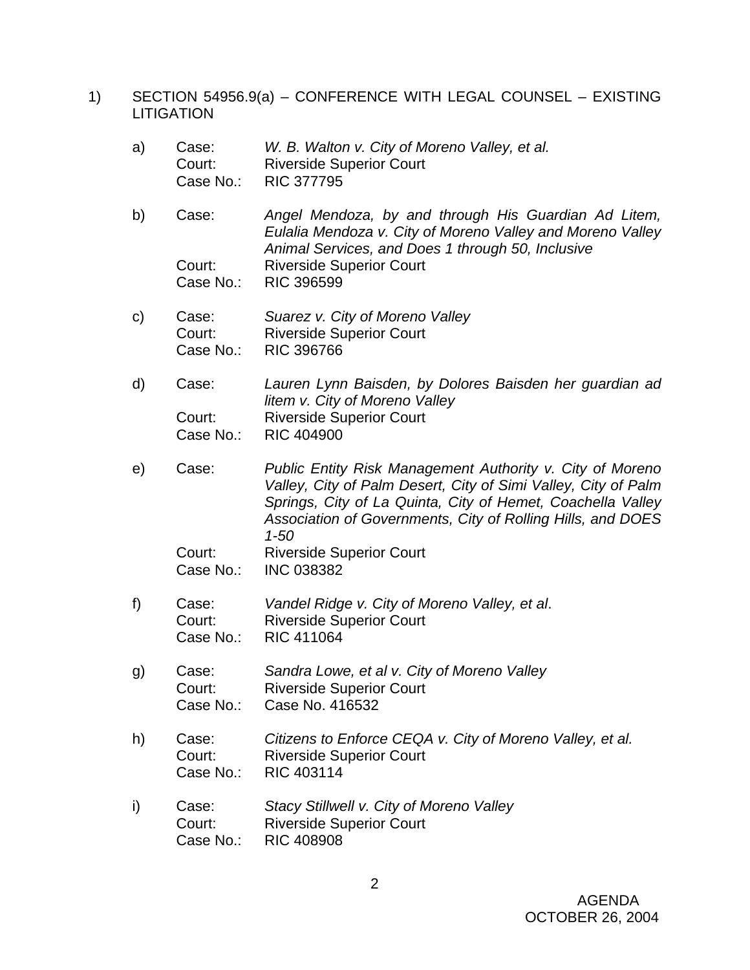1) SECTION 54956.9(a) – CONFERENCE WITH LEGAL COUNSEL – EXISTING LITIGATION

| a)           | Case:<br>Court:<br>Case No.: | W. B. Walton v. City of Moreno Valley, et al.<br><b>Riverside Superior Court</b><br><b>RIC 377795</b>                                                                                                                                                                 |
|--------------|------------------------------|-----------------------------------------------------------------------------------------------------------------------------------------------------------------------------------------------------------------------------------------------------------------------|
| b)           | Case:                        | Angel Mendoza, by and through His Guardian Ad Litem,<br>Eulalia Mendoza v. City of Moreno Valley and Moreno Valley<br>Animal Services, and Does 1 through 50, Inclusive                                                                                               |
|              | Court:<br>Case No.:          | <b>Riverside Superior Court</b><br><b>RIC 396599</b>                                                                                                                                                                                                                  |
| $\mathsf{C}$ | Case:<br>Court:<br>Case No.: | Suarez v. City of Moreno Valley<br><b>Riverside Superior Court</b><br><b>RIC 396766</b>                                                                                                                                                                               |
| d)           | Case:                        | Lauren Lynn Baisden, by Dolores Baisden her guardian ad<br>litem v. City of Moreno Valley                                                                                                                                                                             |
|              | Court:<br>Case No.:          | <b>Riverside Superior Court</b><br><b>RIC 404900</b>                                                                                                                                                                                                                  |
| e)           | Case:                        | Public Entity Risk Management Authority v. City of Moreno<br>Valley, City of Palm Desert, City of Simi Valley, City of Palm<br>Springs, City of La Quinta, City of Hemet, Coachella Valley<br>Association of Governments, City of Rolling Hills, and DOES<br>$1 - 50$ |
|              | Court:<br>Case No.:          | <b>Riverside Superior Court</b><br><b>INC 038382</b>                                                                                                                                                                                                                  |
| f)           | Case:<br>Court:<br>Case No.: | Vandel Ridge v. City of Moreno Valley, et al.<br><b>Riverside Superior Court</b><br><b>RIC 411064</b>                                                                                                                                                                 |
| g)           | Case:<br>Court:<br>Case No.: | Sandra Lowe, et al v. City of Moreno Valley<br><b>Riverside Superior Court</b><br>Case No. 416532                                                                                                                                                                     |
| h)           | Case:<br>Court:<br>Case No.: | Citizens to Enforce CEQA v. City of Moreno Valley, et al.<br><b>Riverside Superior Court</b><br>RIC 403114                                                                                                                                                            |
| i)           | Case:<br>Court:<br>Case No.: | Stacy Stillwell v. City of Moreno Valley<br><b>Riverside Superior Court</b><br><b>RIC 408908</b>                                                                                                                                                                      |